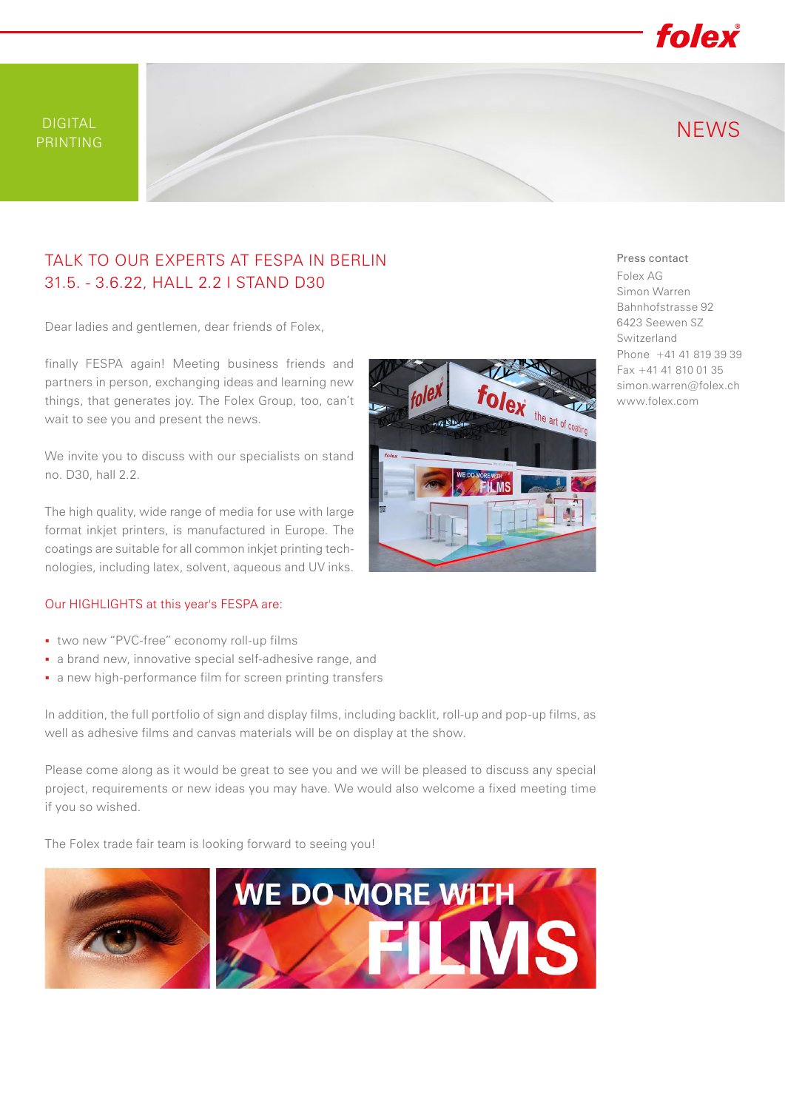

## TALK TO OUR EXPERTS AT FESPA IN BERLIN 31.5. - 3.6.22, HALL 2.2 I STAND D30

Dear ladies and gentlemen, dear friends of Folex,

finally FESPA again! Meeting business friends and partners in person, exchanging ideas and learning new things, that generates joy. The Folex Group, too, can't wait to see you and present the news.

We invite you to discuss with our specialists on stand no. D30, hall 2.2.

The high quality, wide range of media for use with large format inkjet printers, is manufactured in Europe. The coatings are suitable for all common inkjet printing technologies, including latex, solvent, aqueous and UV inks.

## Our HIGHLIGHTS at this year's FESPA are:

- two new "PVC-free" economy roll-up films
- a brand new, innovative special self-adhesive range, and
- a new high-performance film for screen printing transfers

In addition, the full portfolio of sign and display films, including backlit, roll-up and pop-up films, as well as adhesive films and canvas materials will be on display at the show.

Please come along as it would be great to see you and we will be pleased to discuss any special project, requirements or new ideas you may have. We would also welcome a fixed meeting time if you so wished.

The Folex trade fair team is looking forward to seeing you!



## Press contact

Folex AG Simon Warren Bahnhofstrasse 92 6423 Seewen SZ Switzerland Phone +41 41 819 39 39 Fax +41 41 810 01 35 simon.warren@folex.ch www.folex.com